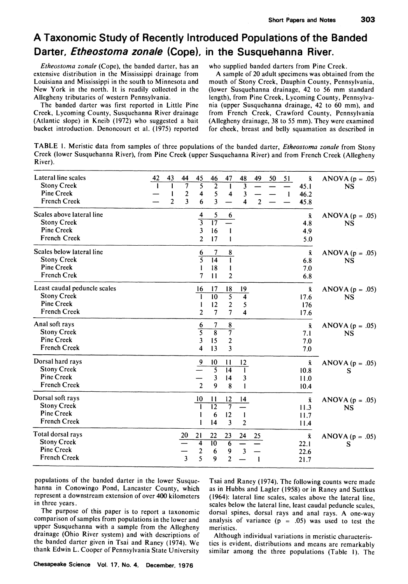## **A Taxonomic Study of Recently Introduced Populations of the Banded Darter, Etheostoma zonale (Cope), in the Susquehanna River.**

**Etheostoma zonale (Cope), the banded darter, has an extensive distribution in the Mississippi drainage from Louisiana and Mississippi in the south to Minnesota and New York in the north. It is readily collected in the Allegheny tributaries of western Pennsylvania.** 

**The banded darter was first reported in Little Pine Creek, Lycoming County, Susquehanna River drainage (Atlantic slope) in Kneib (1972) who suggested a bait bucket introduction. Denoncourt et al. (1975) reported**  **who supplied banded darters from Pine Creek.** 

**A sample of 20 adult specimens was obtained from the mouth of Stony Creek, Dauphin County, Pennsylvania, (lower Susquehanna drainage, 42 to 56 mm standard length), from Pine Creek, Lycoming County, Pennsylvania (upper Susquehanna drainage, 42 to 60 mm), and from French Creek, Crawford County, Pennsylvania (Allegheny drainage, 38 to 55 mm). They were examined for cheek, breast and belly squamation as described in** 

**TABLE 1. Meristic data from samples of three populations of the banded darter, Etheostoma zonale from Stony Creek (lower Susquehanna River), from Pine Creek (upper Susquehanna River) and from French Creek (Allegheny River).** 

| Lateral line scales<br><b>Stony Creek</b><br>Pine Creek<br><b>French Creek</b>          | 42<br>43<br>45<br>47<br>44<br>46<br>48<br>49<br>50<br>51<br>Ŷ.<br>7<br>5<br>$\overline{2}$<br>3<br>1<br>45.1<br>$\mathbf{2}$<br>5<br>$\overline{\mathbf{4}}$<br>3<br>$\overline{4}$<br>46.2<br>1<br>$\overline{2}$<br>$\overline{\mathbf{3}}$<br>3<br>6<br>$\overline{2}$<br>45.8<br>4 | ANOVA ( $p = .05$ )<br><b>NS</b> |
|-----------------------------------------------------------------------------------------|----------------------------------------------------------------------------------------------------------------------------------------------------------------------------------------------------------------------------------------------------------------------------------------|----------------------------------|
| Scales above lateral line<br><b>Stony Creek</b><br>Pine Creek<br>French Creek           | 4<br>5<br>6<br>$\bar{\mathbf{x}}$<br>$\overline{3}$<br>$\overline{17}$<br>4.8<br>3<br>16<br>4.9<br>1<br>17<br>$\overline{2}$<br>5.0<br>1                                                                                                                                               | ANOVA $(p = .05)$<br>NS          |
| Scales below lateral line<br><b>Stony Creek</b><br>Pine Creek<br>French Crek            | 8<br>$\bar{\mathbf{x}}$<br>6<br>7<br>$\overline{5}$<br>$\overline{14}$<br>$\mathbf{I}$<br>6.8<br>18<br>7.0<br>1<br>7<br>$\overline{2}$<br>$\mathbf{11}$<br>6.8                                                                                                                         | ANOVA ( $p = .05$ )<br>NS        |
| Least caudal peduncle scales<br><b>Stony Creek</b><br>Pine Creek<br><b>French Creek</b> | 18<br>$\bar{x}$<br>16<br>17<br>19<br>$\overline{5}$<br>$\overline{10}$<br>$\overline{\mathbf{4}}$<br>1<br>17.6<br>$\overline{2}$<br>12<br>5<br>176<br>1<br>$\overline{7}$<br>$\overline{2}$<br>$\tau$<br>$\overline{\mathbf{4}}$<br>17.6                                               | ANOVA ( $p = .05$ )<br>NS        |
| Anal soft rays<br><b>Stony Creek</b><br>Pine Creek<br><b>French Creek</b>               | 7<br>$\bf 8$<br>$\frac{6}{5}$<br>$\bar{x}$<br>$\overline{8}$<br>$\overline{\tau}$<br>7.1<br>3<br>15<br>$\boldsymbol{2}$<br>7.0<br>$\overline{\mathbf{3}}$<br>4<br>13<br>7.0                                                                                                            | ANOVA $(p = .05)$<br>NS          |
| Dorsal hard rays<br><b>Stony Creek</b><br>Pine Creek<br><b>French Creek</b>             | 10<br>$\overline{6}$<br>11<br>12<br>$\bar{\mathbf{x}}$<br>$\overline{5}$<br>$\overline{14}$<br>T<br>10.8<br>3<br>14<br>3<br>11.0<br>$\overline{2}$<br>9<br>8<br>1<br>10.4                                                                                                              | ANOVA ( $p = .05$ )<br>S         |
| Dorsal soft rays<br><b>Stony Creek</b><br>Pine Creek<br><b>French Creek</b>             | 10<br>12<br>11<br>14<br>Ā.<br>$\overline{12}$<br>$\overline{\tau}$<br>$\mathbf{1}$<br>11.3<br>12<br>6<br>1<br>1<br>11.7<br>3<br>$\overline{2}$<br>14<br>1<br>11.4                                                                                                                      | ANOVA $(p = .05)$<br>NS          |
| Total dorsal rays<br><b>Stony Creek</b><br>Pine Creek<br><b>French Creek</b>            | 21<br>22<br>23<br>20<br>24<br>25<br>Ā.<br>4<br>$\overline{10}$<br>76<br>22.1<br>$\overline{\mathbf{c}}$<br>6<br>9<br>22.6<br>$\overline{\mathbf{3}}$<br>5<br>9<br>$\overline{2}$<br>1<br>21.7                                                                                          | ANOVA ( $p = .05$ )<br>S         |

**populations of the banded darter in the lower Susquehanna in Conowingo Pond, Lancaster County, which represent a downstream extension of over 400 kilometers in three years.** 

**The purpose of this paper is to report a taxonomic comparison of samples from populations in the lower and upper Susquehanna with a sample from the Allegheny drainage (Ohio River system) and with descriptions of the banded darter given in Tsai and Raney (1974). We thank Edwin L. Cooper of Pennsylvania State University** 

**Tsai and Raney (1974). The following counts were made as in Hubbs and Lagler (1958) or in Raney and Suttkus (1964): lateral line scales, scales above the lateral line, scales below the lateral line, least caudal peduncle scales, dorsal spines, dorsal rays and anal rays. A one-way analysis of variance (p = .05) was used to test the meristics.** 

**Although individual variations in meristic characteristics is evident, distributions and means are remarkably similar among the three populations (Table 1). The**